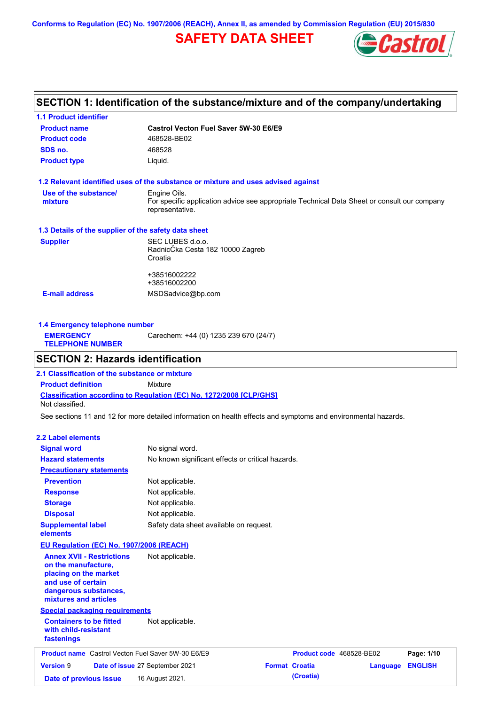**Conforms to Regulation (EC) No. 1907/2006 (REACH), Annex II, as amended by Commission Regulation (EU) 2015/830**

## **SAFETY DATA SHEET**



## **SECTION 1: Identification of the substance/mixture and of the company/undertaking**

| Castrol Vecton Fuel Saver 5W-30 E6/E9                                                                          |
|----------------------------------------------------------------------------------------------------------------|
| 468528-BE02                                                                                                    |
| 468528                                                                                                         |
| Liquid.                                                                                                        |
| 1.2 Relevant identified uses of the substance or mixture and uses advised against                              |
| Engine Oils.                                                                                                   |
| For specific application advice see appropriate Technical Data Sheet or consult our company<br>representative. |
| 1.3 Details of the supplier of the safety data sheet                                                           |
| SEC LUBES d.o.o.                                                                                               |
| RadnicČka Cesta 182 10000 Zagreb                                                                               |
| Croatia                                                                                                        |
| +38516002222                                                                                                   |
| +38516002200                                                                                                   |
| MSDSadvice@bp.com                                                                                              |
|                                                                                                                |
|                                                                                                                |

| 1.4 Emergency telephone number              |                                       |  |  |  |
|---------------------------------------------|---------------------------------------|--|--|--|
| <b>EMERGENCY</b><br><b>TELEPHONE NUMBER</b> | Carechem: +44 (0) 1235 239 670 (24/7) |  |  |  |

## **SECTION 2: Hazards identification**

**Classification according to Regulation (EC) No. 1272/2008 [CLP/GHS] 2.1 Classification of the substance or mixture Product definition** Mixture Not classified.

See sections 11 and 12 for more detailed information on health effects and symptoms and environmental hazards.

### **2.2 Label elements**

| <b>Signal word</b>                                                                                                                                       | No signal word.                                   |                          |          |                |
|----------------------------------------------------------------------------------------------------------------------------------------------------------|---------------------------------------------------|--------------------------|----------|----------------|
| <b>Hazard statements</b>                                                                                                                                 | No known significant effects or critical hazards. |                          |          |                |
| <b>Precautionary statements</b>                                                                                                                          |                                                   |                          |          |                |
| <b>Prevention</b>                                                                                                                                        | Not applicable.                                   |                          |          |                |
| <b>Response</b>                                                                                                                                          | Not applicable.                                   |                          |          |                |
| <b>Storage</b>                                                                                                                                           | Not applicable.                                   |                          |          |                |
| <b>Disposal</b>                                                                                                                                          | Not applicable.                                   |                          |          |                |
| <b>Supplemental label</b><br>elements                                                                                                                    | Safety data sheet available on request.           |                          |          |                |
| EU Regulation (EC) No. 1907/2006 (REACH)                                                                                                                 |                                                   |                          |          |                |
| <b>Annex XVII - Restrictions</b><br>on the manufacture,<br>placing on the market<br>and use of certain<br>dangerous substances,<br>mixtures and articles | Not applicable.                                   |                          |          |                |
| <b>Special packaging requirements</b>                                                                                                                    |                                                   |                          |          |                |
| <b>Containers to be fitted</b><br>with child-resistant<br>fastenings                                                                                     | Not applicable.                                   |                          |          |                |
| <b>Product name</b> Castrol Vecton Fuel Saver 5W-30 E6/E9                                                                                                |                                                   | Product code 468528-BE02 |          | Page: 1/10     |
| <b>Version 9</b>                                                                                                                                         | Date of issue 27 September 2021                   | <b>Format Croatia</b>    | Language | <b>ENGLISH</b> |
| Date of previous issue                                                                                                                                   | 16 August 2021.                                   | (Croatia)                |          |                |
|                                                                                                                                                          |                                                   |                          |          |                |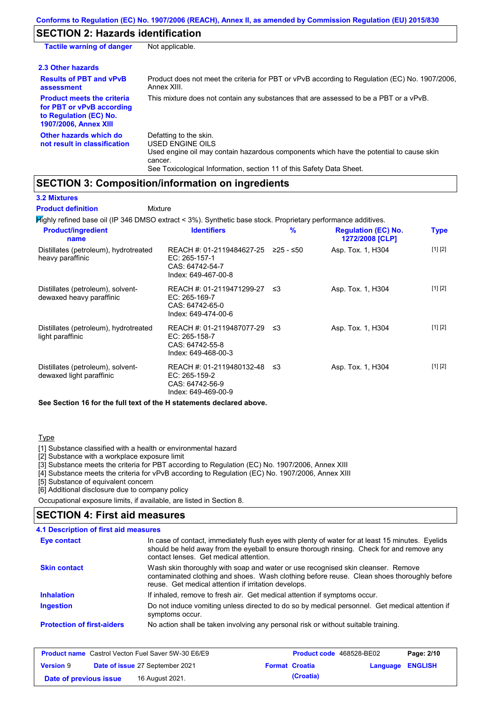## **SECTION 2: Hazards identification**

| <b>Tactile warning of danger</b>                                                                                         | Not applicable.                                                                                                                                                                                                          |
|--------------------------------------------------------------------------------------------------------------------------|--------------------------------------------------------------------------------------------------------------------------------------------------------------------------------------------------------------------------|
| 2.3 Other hazards                                                                                                        |                                                                                                                                                                                                                          |
| <b>Results of PBT and vPvB</b><br>assessment                                                                             | Product does not meet the criteria for PBT or vPvB according to Regulation (EC) No. 1907/2006,<br>Annex XIII.                                                                                                            |
| <b>Product meets the criteria</b><br>for PBT or vPvB according<br>to Regulation (EC) No.<br><b>1907/2006, Annex XIII</b> | This mixture does not contain any substances that are assessed to be a PBT or a vPvB.                                                                                                                                    |
| Other hazards which do<br>not result in classification                                                                   | Defatting to the skin.<br>USED ENGINE OILS<br>Used engine oil may contain hazardous components which have the potential to cause skin<br>cancer.<br>See Toxicological Information, section 11 of this Safety Data Sheet. |

## **SECTION 3: Composition/information on ingredients**

**3.2 Mixtures**

Mixture **Product definition**

Highly refined base oil (IP 346 DMSO extract < 3%). Synthetic base stock. Proprietary performance additives.

| <b>Product/ingredient</b><br>name                             | <b>Identifiers</b>                                                                      | %           | <b>Regulation (EC) No.</b><br>1272/2008 [CLP] | <b>Type</b> |
|---------------------------------------------------------------|-----------------------------------------------------------------------------------------|-------------|-----------------------------------------------|-------------|
| Distillates (petroleum), hydrotreated<br>heavy paraffinic     | REACH #: 01-2119484627-25<br>EC: 265-157-1<br>CAS: 64742-54-7<br>Index: 649-467-00-8    | $≥25 - ≤50$ | Asp. Tox. 1, H304                             | [1] [2]     |
| Distillates (petroleum), solvent-<br>dewaxed heavy paraffinic | REACH #: 01-2119471299-27 ≤3<br>EC: 265-169-7<br>CAS: 64742-65-0<br>Index: 649-474-00-6 |             | Asp. Tox. 1, H304                             | [1] [2]     |
| Distillates (petroleum), hydrotreated<br>light paraffinic     | REACH #: 01-2119487077-29<br>EC: 265-158-7<br>CAS: 64742-55-8<br>Index: 649-468-00-3    | ב≥          | Asp. Tox. 1, H304                             | [1] [2]     |
| Distillates (petroleum), solvent-<br>dewaxed light paraffinic | REACH #: 01-2119480132-48 ≤3<br>EC: 265-159-2<br>CAS: 64742-56-9<br>Index: 649-469-00-9 |             | Asp. Tox. 1, H304                             | [1] [2]     |

**See Section 16 for the full text of the H statements declared above.**

### **Type**

[1] Substance classified with a health or environmental hazard

[2] Substance with a workplace exposure limit

[3] Substance meets the criteria for PBT according to Regulation (EC) No. 1907/2006, Annex XIII

[4] Substance meets the criteria for vPvB according to Regulation (EC) No. 1907/2006, Annex XIII

[5] Substance of equivalent concern

[6] Additional disclosure due to company policy

Occupational exposure limits, if available, are listed in Section 8.

### **SECTION 4: First aid measures**

| <b>4.1 Description of first aid measures</b> |                                                                                                                                                                                                                                         |
|----------------------------------------------|-----------------------------------------------------------------------------------------------------------------------------------------------------------------------------------------------------------------------------------------|
| Eye contact                                  | In case of contact, immediately flush eyes with plenty of water for at least 15 minutes. Eyelids<br>should be held away from the eyeball to ensure thorough rinsing. Check for and remove any<br>contact lenses. Get medical attention. |
| <b>Skin contact</b>                          | Wash skin thoroughly with soap and water or use recognised skin cleanser. Remove<br>contaminated clothing and shoes. Wash clothing before reuse. Clean shoes thoroughly before<br>reuse. Get medical attention if irritation develops.  |
| <b>Inhalation</b>                            | If inhaled, remove to fresh air. Get medical attention if symptoms occur.                                                                                                                                                               |
| <b>Ingestion</b>                             | Do not induce vomiting unless directed to do so by medical personnel. Get medical attention if<br>symptoms occur.                                                                                                                       |
| <b>Protection of first-aiders</b>            | No action shall be taken involving any personal risk or without suitable training.                                                                                                                                                      |

| <b>Product name</b> Castrol Vecton Fuel Saver 5W-30 E6/E9 |  |                                 | <b>Product code</b> 468528-BE02 | Page: 2/10            |                  |  |
|-----------------------------------------------------------|--|---------------------------------|---------------------------------|-----------------------|------------------|--|
| <b>Version 9</b>                                          |  | Date of issue 27 September 2021 |                                 | <b>Format Croatia</b> | Language ENGLISH |  |
| Date of previous issue                                    |  | 16 August 2021.                 |                                 | (Croatia)             |                  |  |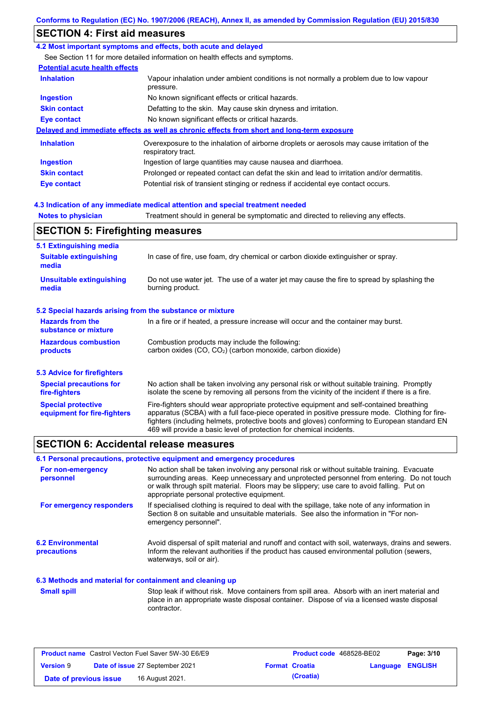## **SECTION 4: First aid measures**

### **4.2 Most important symptoms and effects, both acute and delayed**

See Section 11 for more detailed information on health effects and symptoms.

### **Potential acute health effects**

| <b>Inhalation</b>   | Vapour inhalation under ambient conditions is not normally a problem due to low vapour<br>pressure.               |
|---------------------|-------------------------------------------------------------------------------------------------------------------|
| <b>Ingestion</b>    | No known significant effects or critical hazards.                                                                 |
| <b>Skin contact</b> | Defatting to the skin. May cause skin dryness and irritation.                                                     |
| Eye contact         | No known significant effects or critical hazards.                                                                 |
|                     | Delayed and immediate effects as well as chronic effects from short and long-term exposure                        |
| <b>Inhalation</b>   | Overexposure to the inhalation of airborne droplets or aerosols may cause irritation of the<br>respiratory tract. |
| <b>Ingestion</b>    | Ingestion of large quantities may cause nausea and diarrhoea.                                                     |
| <b>Skin contact</b> | Prolonged or repeated contact can defat the skin and lead to irritation and/or dermatitis.                        |
| Eye contact         | Potential risk of transient stinging or redness if accidental eye contact occurs.                                 |

### **4.3 Indication of any immediate medical attention and special treatment needed**

**Notes to physician** Treatment should in general be symptomatic and directed to relieving any effects.

## **SECTION 5: Firefighting measures**

| 5.1 Extinguishing media                                                                                                                                    |                                                                                                                                                                                                                                                                                                                                                                   |  |  |  |
|------------------------------------------------------------------------------------------------------------------------------------------------------------|-------------------------------------------------------------------------------------------------------------------------------------------------------------------------------------------------------------------------------------------------------------------------------------------------------------------------------------------------------------------|--|--|--|
| <b>Suitable extinguishing</b><br>In case of fire, use foam, dry chemical or carbon dioxide extinguisher or spray.<br>media                                 |                                                                                                                                                                                                                                                                                                                                                                   |  |  |  |
| <b>Unsuitable extinguishing</b><br>Do not use water jet. The use of a water jet may cause the fire to spread by splashing the<br>burning product.<br>media |                                                                                                                                                                                                                                                                                                                                                                   |  |  |  |
| 5.2 Special hazards arising from the substance or mixture                                                                                                  |                                                                                                                                                                                                                                                                                                                                                                   |  |  |  |
| <b>Hazards from the</b><br>In a fire or if heated, a pressure increase will occur and the container may burst.<br>substance or mixture                     |                                                                                                                                                                                                                                                                                                                                                                   |  |  |  |
| <b>Hazardous combustion</b><br>products                                                                                                                    | Combustion products may include the following:<br>carbon oxides $(CO, CO2)$ (carbon monoxide, carbon dioxide)                                                                                                                                                                                                                                                     |  |  |  |
| 5.3 Advice for firefighters                                                                                                                                |                                                                                                                                                                                                                                                                                                                                                                   |  |  |  |
| <b>Special precautions for</b><br>fire-fighters                                                                                                            | No action shall be taken involving any personal risk or without suitable training. Promptly<br>isolate the scene by removing all persons from the vicinity of the incident if there is a fire.                                                                                                                                                                    |  |  |  |
| <b>Special protective</b><br>equipment for fire-fighters                                                                                                   | Fire-fighters should wear appropriate protective equipment and self-contained breathing<br>apparatus (SCBA) with a full face-piece operated in positive pressure mode. Clothing for fire-<br>fighters (including helmets, protective boots and gloves) conforming to European standard EN<br>469 will provide a basic level of protection for chemical incidents. |  |  |  |

## **SECTION 6: Accidental release measures**

### **6.1 Personal precautions, protective equipment and emergency procedures**

| For non-emergency<br>personnel                           | No action shall be taken involving any personal risk or without suitable training. Evacuate<br>surrounding areas. Keep unnecessary and unprotected personnel from entering. Do not touch<br>or walk through spilt material. Floors may be slippery; use care to avoid falling. Put on<br>appropriate personal protective equipment. |
|----------------------------------------------------------|-------------------------------------------------------------------------------------------------------------------------------------------------------------------------------------------------------------------------------------------------------------------------------------------------------------------------------------|
| For emergency responders                                 | If specialised clothing is required to deal with the spillage, take note of any information in<br>Section 8 on suitable and unsuitable materials. See also the information in "For non-<br>emergency personnel".                                                                                                                    |
| <b>6.2 Environmental</b><br><b>precautions</b>           | Avoid dispersal of spilt material and runoff and contact with soil, waterways, drains and sewers.<br>Inform the relevant authorities if the product has caused environmental pollution (sewers,<br>waterways, soil or air).                                                                                                         |
| 6.3 Methods and material for containment and cleaning up |                                                                                                                                                                                                                                                                                                                                     |
| <b>Small spill</b>                                       | Stop leak if without risk. Move containers from spill area. Absorb with an inert material and<br>place in an appropriate waste disposal container. Dispose of via a licensed waste disposal<br>contractor.                                                                                                                          |

| <b>Product name</b> Castrol Vecton Fuel Saver 5W-30 E6/E9 |  |                                 | <b>Product code</b> 468528-BE02 |                       | Page: 3/10              |  |
|-----------------------------------------------------------|--|---------------------------------|---------------------------------|-----------------------|-------------------------|--|
| <b>Version 9</b>                                          |  | Date of issue 27 September 2021 |                                 | <b>Format Croatia</b> | <b>Language ENGLISH</b> |  |
| Date of previous issue                                    |  | 16 August 2021.                 |                                 | (Croatia)             |                         |  |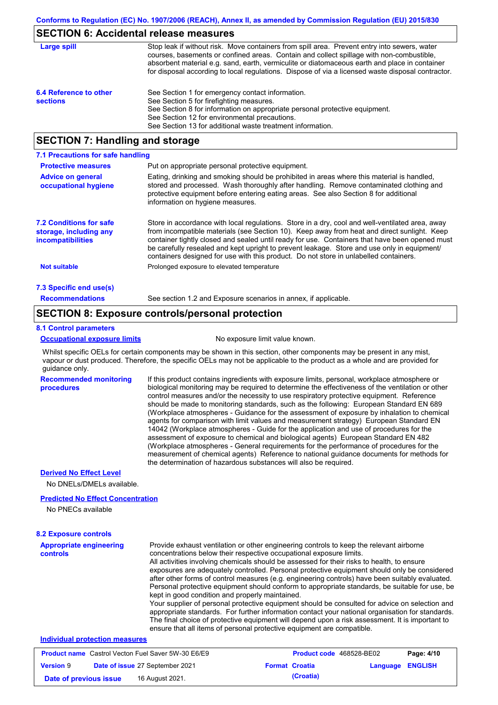### **SECTION 6: Accidental release measures**

| Large spill                               | Stop leak if without risk. Move containers from spill area. Prevent entry into sewers, water<br>courses, basements or confined areas. Contain and collect spillage with non-combustible,<br>absorbent material e.g. sand, earth, vermiculite or diatomaceous earth and place in container<br>for disposal according to local regulations. Dispose of via a licensed waste disposal contractor. |
|-------------------------------------------|------------------------------------------------------------------------------------------------------------------------------------------------------------------------------------------------------------------------------------------------------------------------------------------------------------------------------------------------------------------------------------------------|
| 6.4 Reference to other<br><b>sections</b> | See Section 1 for emergency contact information.<br>See Section 5 for firefighting measures.<br>See Section 8 for information on appropriate personal protective equipment.<br>See Section 12 for environmental precautions.<br>See Section 13 for additional waste treatment information.                                                                                                     |

## **SECTION 7: Handling and storage**

| 7.1 Precautions for safe handling                                             |                                                                                                                                                                                                                                                                                                                                                                                                                                                                                          |
|-------------------------------------------------------------------------------|------------------------------------------------------------------------------------------------------------------------------------------------------------------------------------------------------------------------------------------------------------------------------------------------------------------------------------------------------------------------------------------------------------------------------------------------------------------------------------------|
| <b>Protective measures</b>                                                    | Put on appropriate personal protective equipment.                                                                                                                                                                                                                                                                                                                                                                                                                                        |
| <b>Advice on general</b><br>occupational hygiene                              | Eating, drinking and smoking should be prohibited in areas where this material is handled.<br>stored and processed. Wash thoroughly after handling. Remove contaminated clothing and<br>protective equipment before entering eating areas. See also Section 8 for additional<br>information on hygiene measures.                                                                                                                                                                         |
| <b>7.2 Conditions for safe</b><br>storage, including any<br>incompatibilities | Store in accordance with local regulations. Store in a dry, cool and well-ventilated area, away<br>from incompatible materials (see Section 10). Keep away from heat and direct sunlight. Keep<br>container tightly closed and sealed until ready for use. Containers that have been opened must<br>be carefully resealed and kept upright to prevent leakage. Store and use only in equipment/<br>containers designed for use with this product. Do not store in unlabelled containers. |
| <b>Not suitable</b>                                                           | Prolonged exposure to elevated temperature                                                                                                                                                                                                                                                                                                                                                                                                                                               |
| 7.3 Specific end use(s)                                                       |                                                                                                                                                                                                                                                                                                                                                                                                                                                                                          |
| <b>Recommendations</b>                                                        | See section 1.2 and Exposure scenarios in annex, if applicable.                                                                                                                                                                                                                                                                                                                                                                                                                          |

### **SECTION 8: Exposure controls/personal protection**

#### **8.1 Control parameters**

#### **Occupational exposure limits** No exposure limit value known.

Whilst specific OELs for certain components may be shown in this section, other components may be present in any mist, vapour or dust produced. Therefore, the specific OELs may not be applicable to the product as a whole and are provided for guidance only.

**Recommended monitoring procedures** If this product contains ingredients with exposure limits, personal, workplace atmosphere or biological monitoring may be required to determine the effectiveness of the ventilation or other control measures and/or the necessity to use respiratory protective equipment. Reference should be made to monitoring standards, such as the following: European Standard EN 689 (Workplace atmospheres - Guidance for the assessment of exposure by inhalation to chemical agents for comparison with limit values and measurement strategy) European Standard EN 14042 (Workplace atmospheres - Guide for the application and use of procedures for the assessment of exposure to chemical and biological agents) European Standard EN 482 (Workplace atmospheres - General requirements for the performance of procedures for the measurement of chemical agents) Reference to national guidance documents for methods for the determination of hazardous substances will also be required.

### **Derived No Effect Level**

No DNELs/DMELs available.

### **Predicted No Effect Concentration**

No PNECs available

**Version** 9

| <b>8.2 Exposure controls</b>                                                                               |                                                                                                                                                                                                                                                                                                                                                                                                                                                                                                                                                                                                                                                                                                                                                                                                                                                                                                                                                                                                         |  |  |  |
|------------------------------------------------------------------------------------------------------------|---------------------------------------------------------------------------------------------------------------------------------------------------------------------------------------------------------------------------------------------------------------------------------------------------------------------------------------------------------------------------------------------------------------------------------------------------------------------------------------------------------------------------------------------------------------------------------------------------------------------------------------------------------------------------------------------------------------------------------------------------------------------------------------------------------------------------------------------------------------------------------------------------------------------------------------------------------------------------------------------------------|--|--|--|
| <b>Appropriate engineering</b><br>controls                                                                 | Provide exhaust ventilation or other engineering controls to keep the relevant airborne<br>concentrations below their respective occupational exposure limits.<br>All activities involving chemicals should be assessed for their risks to health, to ensure<br>exposures are adequately controlled. Personal protective equipment should only be considered<br>after other forms of control measures (e.g. engineering controls) have been suitably evaluated.<br>Personal protective equipment should conform to appropriate standards, be suitable for use, be<br>kept in good condition and properly maintained.<br>Your supplier of personal protective equipment should be consulted for advice on selection and<br>appropriate standards. For further information contact your national organisation for standards.<br>The final choice of protective equipment will depend upon a risk assessment. It is important to<br>ensure that all items of personal protective equipment are compatible. |  |  |  |
| <b>Individual protection measures</b>                                                                      |                                                                                                                                                                                                                                                                                                                                                                                                                                                                                                                                                                                                                                                                                                                                                                                                                                                                                                                                                                                                         |  |  |  |
| <b>Product name</b> Castrol Vecton Fuel Saver 5W-30 E6/E9<br>Page: 4/10<br><b>Product code</b> 468528-BE02 |                                                                                                                                                                                                                                                                                                                                                                                                                                                                                                                                                                                                                                                                                                                                                                                                                                                                                                                                                                                                         |  |  |  |

**Date of previous issue 16 August 2021. (Croatia) (Croatia)** 

**Date of issue** 27 September 2021 **Format Croatia Language ENGLISH**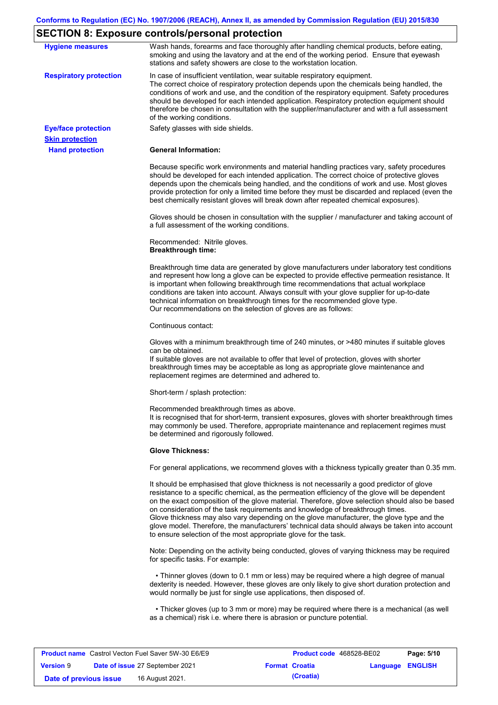# **SECTION 8: Exposure controls/personal protection**

| <b>Hygiene measures</b>       | Wash hands, forearms and face thoroughly after handling chemical products, before eating,<br>smoking and using the lavatory and at the end of the working period. Ensure that eyewash<br>stations and safety showers are close to the workstation location.                                                                                                                                                                                                                                                                                                                                                                                       |
|-------------------------------|---------------------------------------------------------------------------------------------------------------------------------------------------------------------------------------------------------------------------------------------------------------------------------------------------------------------------------------------------------------------------------------------------------------------------------------------------------------------------------------------------------------------------------------------------------------------------------------------------------------------------------------------------|
| <b>Respiratory protection</b> | In case of insufficient ventilation, wear suitable respiratory equipment.<br>The correct choice of respiratory protection depends upon the chemicals being handled, the<br>conditions of work and use, and the condition of the respiratory equipment. Safety procedures<br>should be developed for each intended application. Respiratory protection equipment should<br>therefore be chosen in consultation with the supplier/manufacturer and with a full assessment<br>of the working conditions.                                                                                                                                             |
| <b>Eye/face protection</b>    | Safety glasses with side shields.                                                                                                                                                                                                                                                                                                                                                                                                                                                                                                                                                                                                                 |
| <b>Skin protection</b>        |                                                                                                                                                                                                                                                                                                                                                                                                                                                                                                                                                                                                                                                   |
| <b>Hand protection</b>        | <b>General Information:</b>                                                                                                                                                                                                                                                                                                                                                                                                                                                                                                                                                                                                                       |
|                               | Because specific work environments and material handling practices vary, safety procedures<br>should be developed for each intended application. The correct choice of protective gloves<br>depends upon the chemicals being handled, and the conditions of work and use. Most gloves<br>provide protection for only a limited time before they must be discarded and replaced (even the<br>best chemically resistant gloves will break down after repeated chemical exposures).                                                                                                                                                                  |
|                               | Gloves should be chosen in consultation with the supplier / manufacturer and taking account of<br>a full assessment of the working conditions.                                                                                                                                                                                                                                                                                                                                                                                                                                                                                                    |
|                               | Recommended: Nitrile gloves.<br><b>Breakthrough time:</b>                                                                                                                                                                                                                                                                                                                                                                                                                                                                                                                                                                                         |
|                               | Breakthrough time data are generated by glove manufacturers under laboratory test conditions<br>and represent how long a glove can be expected to provide effective permeation resistance. It<br>is important when following breakthrough time recommendations that actual workplace<br>conditions are taken into account. Always consult with your glove supplier for up-to-date<br>technical information on breakthrough times for the recommended glove type.<br>Our recommendations on the selection of gloves are as follows:                                                                                                                |
|                               | Continuous contact:                                                                                                                                                                                                                                                                                                                                                                                                                                                                                                                                                                                                                               |
|                               | Gloves with a minimum breakthrough time of 240 minutes, or >480 minutes if suitable gloves<br>can be obtained.<br>If suitable gloves are not available to offer that level of protection, gloves with shorter<br>breakthrough times may be acceptable as long as appropriate glove maintenance and<br>replacement regimes are determined and adhered to.                                                                                                                                                                                                                                                                                          |
|                               | Short-term / splash protection:                                                                                                                                                                                                                                                                                                                                                                                                                                                                                                                                                                                                                   |
|                               | Recommended breakthrough times as above.<br>It is recognised that for short-term, transient exposures, gloves with shorter breakthrough times<br>may commonly be used. Therefore, appropriate maintenance and replacement regimes must<br>be determined and rigorously followed.                                                                                                                                                                                                                                                                                                                                                                  |
|                               | <b>Glove Thickness:</b>                                                                                                                                                                                                                                                                                                                                                                                                                                                                                                                                                                                                                           |
|                               | For general applications, we recommend gloves with a thickness typically greater than 0.35 mm.                                                                                                                                                                                                                                                                                                                                                                                                                                                                                                                                                    |
|                               | It should be emphasised that glove thickness is not necessarily a good predictor of glove<br>resistance to a specific chemical, as the permeation efficiency of the glove will be dependent<br>on the exact composition of the glove material. Therefore, glove selection should also be based<br>on consideration of the task requirements and knowledge of breakthrough times.<br>Glove thickness may also vary depending on the glove manufacturer, the glove type and the<br>glove model. Therefore, the manufacturers' technical data should always be taken into account<br>to ensure selection of the most appropriate glove for the task. |
|                               | Note: Depending on the activity being conducted, gloves of varying thickness may be required<br>for specific tasks. For example:                                                                                                                                                                                                                                                                                                                                                                                                                                                                                                                  |
|                               | • Thinner gloves (down to 0.1 mm or less) may be required where a high degree of manual<br>dexterity is needed. However, these gloves are only likely to give short duration protection and<br>would normally be just for single use applications, then disposed of.                                                                                                                                                                                                                                                                                                                                                                              |
|                               | • Thicker gloves (up to 3 mm or more) may be required where there is a mechanical (as well<br>as a chemical) risk i.e. where there is abrasion or puncture potential.                                                                                                                                                                                                                                                                                                                                                                                                                                                                             |
|                               |                                                                                                                                                                                                                                                                                                                                                                                                                                                                                                                                                                                                                                                   |

| <b>Product name</b> Castrol Vecton Fuel Saver 5W-30 E6/E9 |  |                                        | <b>Product code</b> 468528-BE02 | Page: 5/10              |  |
|-----------------------------------------------------------|--|----------------------------------------|---------------------------------|-------------------------|--|
| <b>Version 9</b>                                          |  | <b>Date of issue 27 September 2021</b> | <b>Format Croatia</b>           | <b>Language ENGLISH</b> |  |
| Date of previous issue                                    |  | 16 August 2021.                        | (Croatia)                       |                         |  |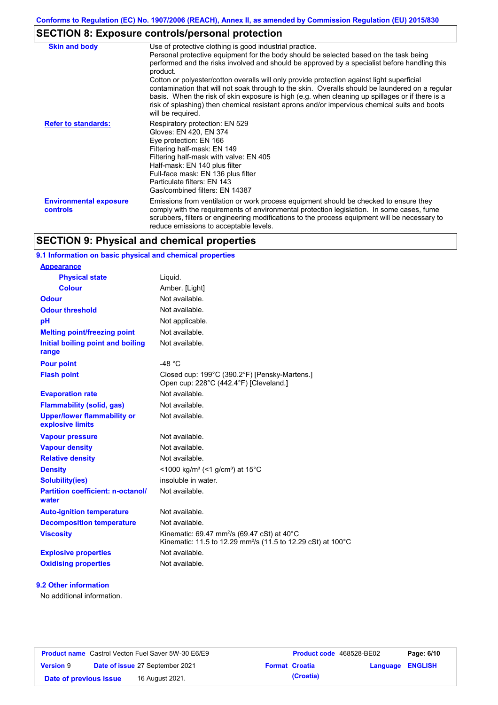## **SECTION 8: Exposure controls/personal protection**

| <b>Skin and body</b>                             | Use of protective clothing is good industrial practice.<br>Personal protective equipment for the body should be selected based on the task being<br>performed and the risks involved and should be approved by a specialist before handling this<br>product.<br>Cotton or polyester/cotton overalls will only provide protection against light superficial<br>contamination that will not soak through to the skin. Overalls should be laundered on a regular<br>basis. When the risk of skin exposure is high (e.g. when cleaning up spillages or if there is a<br>risk of splashing) then chemical resistant aprons and/or impervious chemical suits and boots<br>will be required. |
|--------------------------------------------------|---------------------------------------------------------------------------------------------------------------------------------------------------------------------------------------------------------------------------------------------------------------------------------------------------------------------------------------------------------------------------------------------------------------------------------------------------------------------------------------------------------------------------------------------------------------------------------------------------------------------------------------------------------------------------------------|
| <b>Refer to standards:</b>                       | Respiratory protection: EN 529<br>Gloves: EN 420, EN 374<br>Eye protection: EN 166<br>Filtering half-mask: EN 149<br>Filtering half-mask with valve: EN 405<br>Half-mask: EN 140 plus filter<br>Full-face mask: EN 136 plus filter<br>Particulate filters: EN 143<br>Gas/combined filters: EN 14387                                                                                                                                                                                                                                                                                                                                                                                   |
| <b>Environmental exposure</b><br><b>controls</b> | Emissions from ventilation or work process equipment should be checked to ensure they<br>comply with the requirements of environmental protection legislation. In some cases, fume<br>scrubbers, filters or engineering modifications to the process equipment will be necessary to<br>reduce emissions to acceptable levels.                                                                                                                                                                                                                                                                                                                                                         |

## **SECTION 9: Physical and chemical properties**

### **9.1 Information on basic physical and chemical properties**

| <b>Appearance</b>                                      |                                                                                                                                     |
|--------------------------------------------------------|-------------------------------------------------------------------------------------------------------------------------------------|
| <b>Physical state</b>                                  | Liquid.                                                                                                                             |
| <b>Colour</b>                                          | Amber. [Light]                                                                                                                      |
| <b>Odour</b>                                           | Not available.                                                                                                                      |
| <b>Odour threshold</b>                                 | Not available.                                                                                                                      |
| pH                                                     | Not applicable.                                                                                                                     |
| <b>Melting point/freezing point</b>                    | Not available.                                                                                                                      |
| Initial boiling point and boiling<br>range             | Not available.                                                                                                                      |
| <b>Pour point</b>                                      | -48 $^{\circ}$ C                                                                                                                    |
| <b>Flash point</b>                                     | Closed cup: 199°C (390.2°F) [Pensky-Martens.]<br>Open cup: 228°C (442.4°F) [Cleveland.]                                             |
| <b>Evaporation rate</b>                                | Not available.                                                                                                                      |
| <b>Flammability (solid, gas)</b>                       | Not available.                                                                                                                      |
| <b>Upper/lower flammability or</b><br>explosive limits | Not available.                                                                                                                      |
| <b>Vapour pressure</b>                                 | Not available.                                                                                                                      |
| <b>Vapour density</b>                                  | Not available.                                                                                                                      |
| <b>Relative density</b>                                | Not available.                                                                                                                      |
| <b>Density</b>                                         | <1000 kg/m <sup>3</sup> (<1 g/cm <sup>3</sup> ) at 15 <sup>°</sup> C                                                                |
| <b>Solubility(ies)</b>                                 | insoluble in water.                                                                                                                 |
| <b>Partition coefficient: n-octanol/</b><br>water      | Not available.                                                                                                                      |
| <b>Auto-ignition temperature</b>                       | Not available.                                                                                                                      |
| <b>Decomposition temperature</b>                       | Not available.                                                                                                                      |
| <b>Viscosity</b>                                       | Kinematic: 69.47 mm <sup>2</sup> /s (69.47 cSt) at 40°C<br>Kinematic: 11.5 to 12.29 mm <sup>2</sup> /s (11.5 to 12.29 cSt) at 100°C |
| <b>Explosive properties</b>                            | Not available.                                                                                                                      |
| <b>Oxidising properties</b>                            | Not available.                                                                                                                      |
|                                                        |                                                                                                                                     |

### **9.2 Other information**

No additional information.

|                        | <b>Product name</b> Castrol Vecton Fuel Saver 5W-30 E6/E9 | <b>Product code</b> 468528-BE02 |                         | Page: 6/10 |
|------------------------|-----------------------------------------------------------|---------------------------------|-------------------------|------------|
| <b>Version 9</b>       | <b>Date of issue 27 September 2021</b>                    | <b>Format Croatia</b>           | <b>Language ENGLISH</b> |            |
| Date of previous issue | 16 August 2021.                                           | (Croatia)                       |                         |            |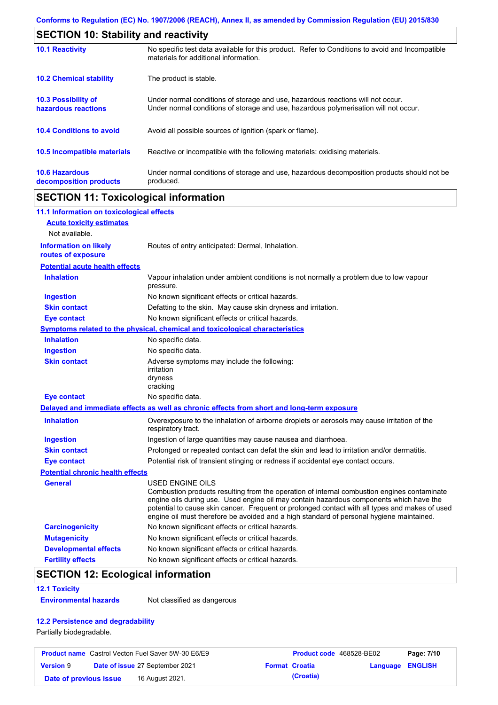| <b>SECTION 10: Stability and reactivity</b>       |                                                                                                                                                                         |  |  |
|---------------------------------------------------|-------------------------------------------------------------------------------------------------------------------------------------------------------------------------|--|--|
| <b>10.1 Reactivity</b>                            | No specific test data available for this product. Refer to Conditions to avoid and Incompatible<br>materials for additional information.                                |  |  |
| <b>10.2 Chemical stability</b>                    | The product is stable.                                                                                                                                                  |  |  |
| <b>10.3 Possibility of</b><br>hazardous reactions | Under normal conditions of storage and use, hazardous reactions will not occur.<br>Under normal conditions of storage and use, hazardous polymerisation will not occur. |  |  |
| <b>10.4 Conditions to avoid</b>                   | Avoid all possible sources of ignition (spark or flame).                                                                                                                |  |  |
| 10.5 Incompatible materials                       | Reactive or incompatible with the following materials: oxidising materials.                                                                                             |  |  |
| <b>10.6 Hazardous</b><br>decomposition products   | Under normal conditions of storage and use, hazardous decomposition products should not be<br>produced.                                                                 |  |  |

## **SECTION 11: Toxicological information**

| 11.1 Information on toxicological effects          |                                                                                                                                                                                                                                                                                                                                                                                                                 |
|----------------------------------------------------|-----------------------------------------------------------------------------------------------------------------------------------------------------------------------------------------------------------------------------------------------------------------------------------------------------------------------------------------------------------------------------------------------------------------|
| <b>Acute toxicity estimates</b>                    |                                                                                                                                                                                                                                                                                                                                                                                                                 |
| Not available.                                     |                                                                                                                                                                                                                                                                                                                                                                                                                 |
| <b>Information on likely</b><br>routes of exposure | Routes of entry anticipated: Dermal, Inhalation.                                                                                                                                                                                                                                                                                                                                                                |
| <b>Potential acute health effects</b>              |                                                                                                                                                                                                                                                                                                                                                                                                                 |
| <b>Inhalation</b>                                  | Vapour inhalation under ambient conditions is not normally a problem due to low vapour<br>pressure.                                                                                                                                                                                                                                                                                                             |
| <b>Ingestion</b>                                   | No known significant effects or critical hazards.                                                                                                                                                                                                                                                                                                                                                               |
| <b>Skin contact</b>                                | Defatting to the skin. May cause skin dryness and irritation.                                                                                                                                                                                                                                                                                                                                                   |
| <b>Eye contact</b>                                 | No known significant effects or critical hazards.                                                                                                                                                                                                                                                                                                                                                               |
|                                                    | <b>Symptoms related to the physical, chemical and toxicological characteristics</b>                                                                                                                                                                                                                                                                                                                             |
| <b>Inhalation</b>                                  | No specific data.                                                                                                                                                                                                                                                                                                                                                                                               |
| <b>Ingestion</b>                                   | No specific data.                                                                                                                                                                                                                                                                                                                                                                                               |
| <b>Skin contact</b>                                | Adverse symptoms may include the following:<br>irritation<br>dryness<br>cracking                                                                                                                                                                                                                                                                                                                                |
| <b>Eye contact</b>                                 | No specific data.                                                                                                                                                                                                                                                                                                                                                                                               |
|                                                    | Delayed and immediate effects as well as chronic effects from short and long-term exposure                                                                                                                                                                                                                                                                                                                      |
| <b>Inhalation</b>                                  | Overexposure to the inhalation of airborne droplets or aerosols may cause irritation of the<br>respiratory tract.                                                                                                                                                                                                                                                                                               |
| <b>Ingestion</b>                                   | Ingestion of large quantities may cause nausea and diarrhoea.                                                                                                                                                                                                                                                                                                                                                   |
| <b>Skin contact</b>                                | Prolonged or repeated contact can defat the skin and lead to irritation and/or dermatitis.                                                                                                                                                                                                                                                                                                                      |
| <b>Eye contact</b>                                 | Potential risk of transient stinging or redness if accidental eye contact occurs.                                                                                                                                                                                                                                                                                                                               |
| <b>Potential chronic health effects</b>            |                                                                                                                                                                                                                                                                                                                                                                                                                 |
| General                                            | <b>USED ENGINE OILS</b><br>Combustion products resulting from the operation of internal combustion engines contaminate<br>engine oils during use. Used engine oil may contain hazardous components which have the<br>potential to cause skin cancer. Frequent or prolonged contact with all types and makes of used<br>engine oil must therefore be avoided and a high standard of personal hygiene maintained. |
| <b>Carcinogenicity</b>                             | No known significant effects or critical hazards.                                                                                                                                                                                                                                                                                                                                                               |
| <b>Mutagenicity</b>                                | No known significant effects or critical hazards.                                                                                                                                                                                                                                                                                                                                                               |
| <b>Developmental effects</b>                       | No known significant effects or critical hazards.                                                                                                                                                                                                                                                                                                                                                               |
| <b>Fertility effects</b>                           | No known significant effects or critical hazards.                                                                                                                                                                                                                                                                                                                                                               |

## **SECTION 12: Ecological information**

#### **12.1 Toxicity**

**Environmental hazards** Not classified as dangerous

### **12.2 Persistence and degradability**

Partially biodegradable.

|                        | <b>Product name</b> Castrol Vecton Fuel Saver 5W-30 E6/E9 | <b>Product code</b> 468528-BE02 |                         | Page: 7/10 |
|------------------------|-----------------------------------------------------------|---------------------------------|-------------------------|------------|
| <b>Version 9</b>       | Date of issue 27 September 2021                           | <b>Format Croatia</b>           | <b>Language ENGLISH</b> |            |
| Date of previous issue | 16 August 2021.                                           | (Croatia)                       |                         |            |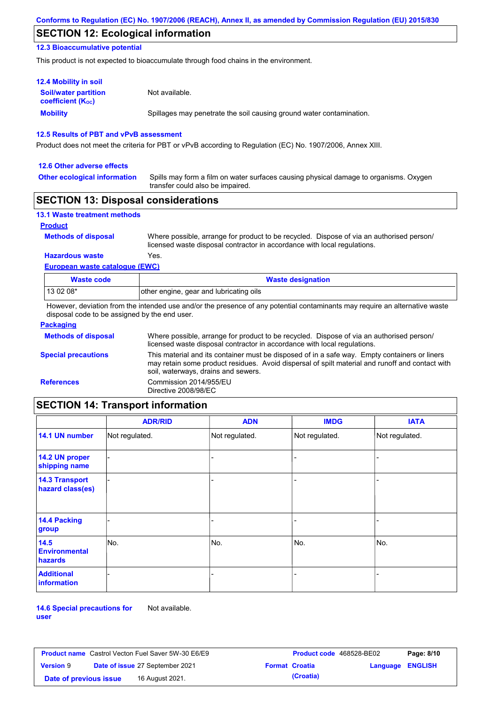## **SECTION 12: Ecological information**

### **12.3 Bioaccumulative potential**

This product is not expected to bioaccumulate through food chains in the environment.

| <b>12.4 Mobility in soil</b>                                  |                                                                      |
|---------------------------------------------------------------|----------------------------------------------------------------------|
| <b>Soil/water partition</b><br>coefficient (K <sub>oc</sub> ) | Not available.                                                       |
| <b>Mobility</b>                                               | Spillages may penetrate the soil causing ground water contamination. |

### **12.5 Results of PBT and vPvB assessment**

Product does not meet the criteria for PBT or vPvB according to Regulation (EC) No. 1907/2006, Annex XIII.

#### **12.6 Other adverse effects**

**Other ecological information**

Spills may form a film on water surfaces causing physical damage to organisms. Oxygen transfer could also be impaired.

### **SECTION 13: Disposal considerations**

| <b>13.1 Waste treatment methods</b> |                                                                                                                                                                      |
|-------------------------------------|----------------------------------------------------------------------------------------------------------------------------------------------------------------------|
| <b>Product</b>                      |                                                                                                                                                                      |
| <b>Methods of disposal</b>          | Where possible, arrange for product to be recycled. Dispose of via an authorised person/<br>licensed waste disposal contractor in accordance with local regulations. |
| <b>Hazardous waste</b>              | Yes.                                                                                                                                                                 |
| European waste catalogue (EWC)      |                                                                                                                                                                      |

| Waste code | <b>Waste designation</b>                |
|------------|-----------------------------------------|
| $1130208*$ | other engine, gear and lubricating oils |

However, deviation from the intended use and/or the presence of any potential contaminants may require an alternative waste disposal code to be assigned by the end user.

| <b>Packaging</b>           |                                                                                                                                                                                                                                         |
|----------------------------|-----------------------------------------------------------------------------------------------------------------------------------------------------------------------------------------------------------------------------------------|
| <b>Methods of disposal</b> | Where possible, arrange for product to be recycled. Dispose of via an authorised person/<br>licensed waste disposal contractor in accordance with local regulations.                                                                    |
| <b>Special precautions</b> | This material and its container must be disposed of in a safe way. Empty containers or liners<br>may retain some product residues. Avoid dispersal of spilt material and runoff and contact with<br>soil, waterways, drains and sewers. |
| <b>References</b>          | Commission 2014/955/EU<br>Directive 2008/98/EC                                                                                                                                                                                          |

## **SECTION 14: Transport information**

|                                           | <b>ADR/RID</b> | <b>ADN</b>     | <b>IMDG</b>    | <b>IATA</b>    |
|-------------------------------------------|----------------|----------------|----------------|----------------|
| 14.1 UN number                            | Not regulated. | Not regulated. | Not regulated. | Not regulated. |
| 14.2 UN proper<br>shipping name           |                |                |                |                |
| <b>14.3 Transport</b><br>hazard class(es) |                |                |                |                |
| 14.4 Packing<br>group                     |                |                |                |                |
| 14.5<br><b>Environmental</b><br>hazards   | No.            | No.            | No.            | No.            |
| <b>Additional</b><br>information          |                |                |                |                |

**14.6 Special precautions for user** Not available.

| <b>Product name</b> Castrol Vecton Fuel Saver 5W-30 E6/E9 |  |                                        | Product code 468528-BE02 | Page: 8/10            |                         |  |
|-----------------------------------------------------------|--|----------------------------------------|--------------------------|-----------------------|-------------------------|--|
| <b>Version 9</b>                                          |  | <b>Date of issue 27 September 2021</b> |                          | <b>Format Croatia</b> | <b>Language ENGLISH</b> |  |
| Date of previous issue                                    |  | 16 August 2021.                        |                          | (Croatia)             |                         |  |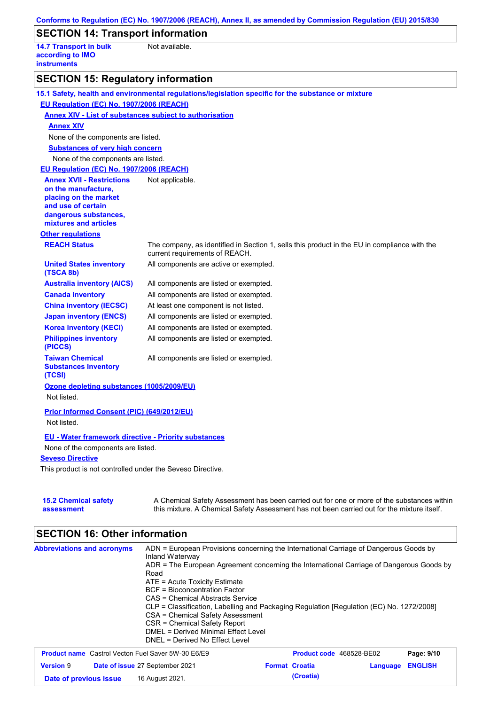| Conforms to Regulation (EC) No. 1907/2006 (REACH), Annex II, as amended by Commission Regulation (EU) 2015/830 |                                                                                                                                                                                           |  |  |  |  |  |
|----------------------------------------------------------------------------------------------------------------|-------------------------------------------------------------------------------------------------------------------------------------------------------------------------------------------|--|--|--|--|--|
| <b>SECTION 14: Transport information</b>                                                                       |                                                                                                                                                                                           |  |  |  |  |  |
| <b>14.7 Transport in bulk</b><br>according to IMO<br><b>instruments</b>                                        | Not available.                                                                                                                                                                            |  |  |  |  |  |
| <b>SECTION 15: Regulatory information</b>                                                                      |                                                                                                                                                                                           |  |  |  |  |  |
|                                                                                                                | 15.1 Safety, health and environmental regulations/legislation specific for the substance or mixture                                                                                       |  |  |  |  |  |
| EU Regulation (EC) No. 1907/2006 (REACH)                                                                       |                                                                                                                                                                                           |  |  |  |  |  |
| <b>Annex XIV - List of substances subject to authorisation</b>                                                 |                                                                                                                                                                                           |  |  |  |  |  |
| <b>Annex XIV</b>                                                                                               |                                                                                                                                                                                           |  |  |  |  |  |
| None of the components are listed.                                                                             |                                                                                                                                                                                           |  |  |  |  |  |
| <b>Substances of very high concern</b>                                                                         |                                                                                                                                                                                           |  |  |  |  |  |
| None of the components are listed.                                                                             |                                                                                                                                                                                           |  |  |  |  |  |
| EU Regulation (EC) No. 1907/2006 (REACH)                                                                       |                                                                                                                                                                                           |  |  |  |  |  |
| <b>Annex XVII - Restrictions</b>                                                                               | Not applicable.                                                                                                                                                                           |  |  |  |  |  |
| on the manufacture,<br>placing on the market                                                                   |                                                                                                                                                                                           |  |  |  |  |  |
| and use of certain                                                                                             |                                                                                                                                                                                           |  |  |  |  |  |
| dangerous substances,                                                                                          |                                                                                                                                                                                           |  |  |  |  |  |
| mixtures and articles                                                                                          |                                                                                                                                                                                           |  |  |  |  |  |
| <b>Other regulations</b>                                                                                       |                                                                                                                                                                                           |  |  |  |  |  |
| <b>REACH Status</b>                                                                                            | The company, as identified in Section 1, sells this product in the EU in compliance with the<br>current requirements of REACH.                                                            |  |  |  |  |  |
| <b>United States inventory</b><br>(TSCA 8b)                                                                    | All components are active or exempted.                                                                                                                                                    |  |  |  |  |  |
| <b>Australia inventory (AICS)</b>                                                                              | All components are listed or exempted.                                                                                                                                                    |  |  |  |  |  |
| <b>Canada inventory</b>                                                                                        | All components are listed or exempted.                                                                                                                                                    |  |  |  |  |  |
| <b>China inventory (IECSC)</b>                                                                                 | At least one component is not listed.                                                                                                                                                     |  |  |  |  |  |
| <b>Japan inventory (ENCS)</b>                                                                                  | All components are listed or exempted.                                                                                                                                                    |  |  |  |  |  |
| <b>Korea inventory (KECI)</b>                                                                                  | All components are listed or exempted.                                                                                                                                                    |  |  |  |  |  |
| <b>Philippines inventory</b><br>(PICCS)                                                                        | All components are listed or exempted.                                                                                                                                                    |  |  |  |  |  |
| <b>Taiwan Chemical</b><br><b>Substances Inventory</b><br>(TCSI)                                                | All components are listed or exempted.                                                                                                                                                    |  |  |  |  |  |
| Ozone depleting substances (1005/2009/EU)<br>Not listed.                                                       |                                                                                                                                                                                           |  |  |  |  |  |
| Prior Informed Consent (PIC) (649/2012/EU)<br>Not listed.                                                      |                                                                                                                                                                                           |  |  |  |  |  |
| <b>EU - Water framework directive - Priority substances</b>                                                    |                                                                                                                                                                                           |  |  |  |  |  |
| None of the components are listed.                                                                             |                                                                                                                                                                                           |  |  |  |  |  |
| <b>Seveso Directive</b>                                                                                        |                                                                                                                                                                                           |  |  |  |  |  |
| This product is not controlled under the Seveso Directive.                                                     |                                                                                                                                                                                           |  |  |  |  |  |
| <b>15.2 Chemical safety</b><br>assessment                                                                      | A Chemical Safety Assessment has been carried out for one or more of the substances within<br>this mixture. A Chemical Safety Assessment has not been carried out for the mixture itself. |  |  |  |  |  |

# **SECTION 16: Other information**

| <b>Abbreviations and acronyms</b>                         | ADN = European Provisions concerning the International Carriage of Dangerous Goods by<br>Inland Waterway<br>ADR = The European Agreement concerning the International Carriage of Dangerous Goods by<br>Road<br>$ATE = Acute Toxicity Estimate$<br>BCF = Bioconcentration Factor<br>CAS = Chemical Abstracts Service<br>CLP = Classification, Labelling and Packaging Regulation [Regulation (EC) No. 1272/2008]<br>CSA = Chemical Safety Assessment<br>CSR = Chemical Safety Report<br>DMEL = Derived Minimal Effect Level<br>DNEL = Derived No Effect Level |                       |                                 |          |                |
|-----------------------------------------------------------|---------------------------------------------------------------------------------------------------------------------------------------------------------------------------------------------------------------------------------------------------------------------------------------------------------------------------------------------------------------------------------------------------------------------------------------------------------------------------------------------------------------------------------------------------------------|-----------------------|---------------------------------|----------|----------------|
| <b>Product name</b> Castrol Vecton Fuel Saver 5W-30 E6/E9 |                                                                                                                                                                                                                                                                                                                                                                                                                                                                                                                                                               |                       | <b>Product code</b> 468528-BE02 |          | Page: 9/10     |
| <b>Version 9</b>                                          | Date of issue 27 September 2021                                                                                                                                                                                                                                                                                                                                                                                                                                                                                                                               | <b>Format Croatia</b> |                                 | Language | <b>ENGLISH</b> |
| Date of previous issue                                    | 16 August 2021.                                                                                                                                                                                                                                                                                                                                                                                                                                                                                                                                               |                       | (Croatia)                       |          |                |